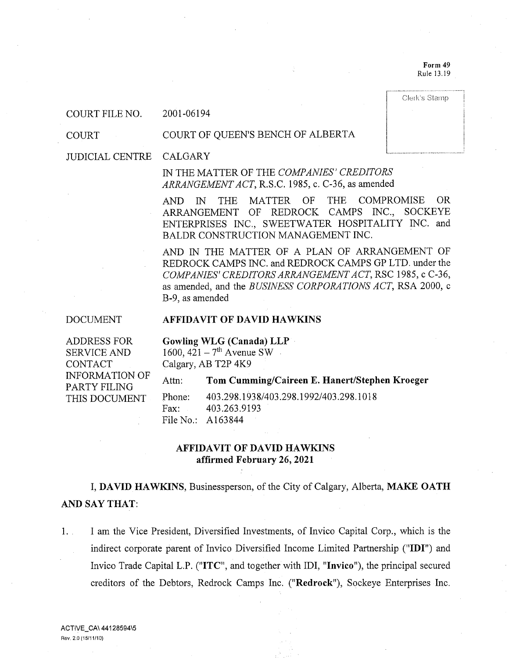Form 49 Rule 13.19

Clerk's Stamp

COURT FILE NO. 2001-06194

COURT

#### COURT OF QUEEN'S BENCH OF ALBERTA

#### JUDICIAL CENTRE CALGARY

IN THE MATTER OF THE COMPANIES' CREDITORS ARRANGEMENT ACT, R.S.C. 1985, c. C-36, as amended

AND IN THE MATTER OF THE COMPROMISE OR ARRANGEMENT OF REDROCK CAMPS INC., SOCKEYE ENTERPRISES INC., SWEETWATER HOSPITALITY INC. and BALDR CONSTRUCTION MANAGEMENT INC.

AND IN THE MATTER OF A PLAN OF ARRANGEMENT OF REDROCK CAMPS INC. and REDROCK CAMPS GP LTD. under the COMPANIES' CREDITORS ARRANGEMENT ACT, RSC 1985, c C-36, as amended, and the BUSINESS CORPORATIONS ACT, RSA 2000, c B-9, as amended

DOCUMENT

### AFFIDAVIT OF DAVID HAWKINS

ADDRESS FOR SERVICE AND CONTACT INFORMATION OF PARTY FILING THIS DOCUMENT

Gowling WLG (Canada) LLP 1600,  $421 - 7$ <sup>th</sup> Avenue SW Calgary, AB T2P 4K9

Attn: Tom Cumming/Caireen E. Hanert/Stephen Kroeger

Phone: 403.298.1938/403.298.1992/403.298.1018 Fax: 403.263.9193 File No.: A163844

## AFFIDAVIT OF DAVID HAWKINS affirmed February 26, 2021

I, DAVID HAWKINS, Businessperson, of the City of Calgary, Alberta, MAKE OATH AND SAY THAT:

1. I am the Vice President, Diversified Investments, of Invico Capital Corp., which is the indirect corporate parent of Invico Diversified Income Limited Partnership ("IDI") and Invico Trade Capital L.P. ("ITC", and together with IDI, "Invico"), the principal secured creditors of the Debtors, Redrock Camps Inc. ("Redrock"), Sockeye Enterprises Inc.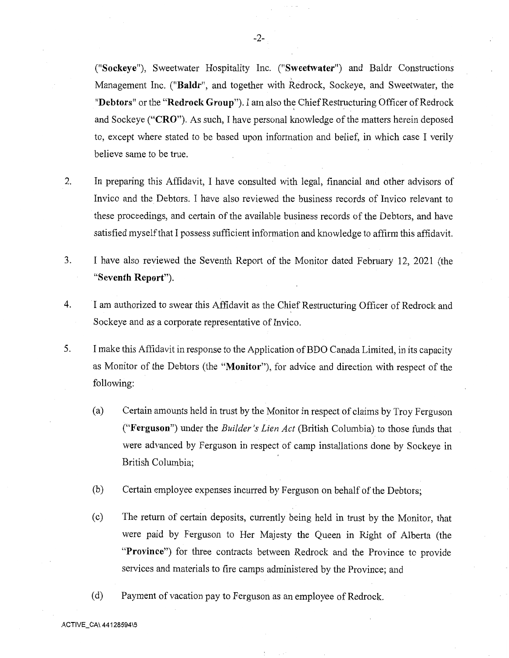("Sockeye"), Sweetwater Hospitality Inc. ("Sweetwater") and Baldr Constructions Management Inc. ("Baldr", and together with Redrock, Sockeye, and Sweetwater, the "Debtors" or the "Redrock Group"). I am also the Chief Restructuring Officer of Redrock and Sockeye ("CRO"). As such, I have personal knowledge of the matters herein deposed to, except where stated to be based upon information and belief, in which case I verily believe same to be true.

- 2. In preparing this Affidavit, I have consulted with legal, financial and other advisors of Invico and the Debtors. I have also reviewed the business records of Invico relevant to these proceedings, and certain of the available business records of the Debtors, and have satisfied myself that I possess sufficient information and knowledge to affirm this affidavit.
- 3. I have also reviewed the Seventh Report of the Monitor dated February 12, 2021 (the "Seventh Report").
- 4. I am authorized to swear this Affidavit as the Chief Restructuring Officer of Redrock and Sockeye and as a corporate representative of Invico.
- 5. I make this Affidavit in response to the Application of BDO Canada Limited, in its capacity as Monitor of the Debtors (the "Monitor"), for advice and direction with respect of the following:
	- (a) Certain amounts held in trust by the Monitor in respect of claims by Troy Ferguson ("Ferguson") under the Builder's Lien Act (British Columbia) to those funds that were advanced by Ferguson in respect of camp installations done by Sockeye in British Columbia;
	- (b) Certain employee expenses incurred by Ferguson on behalf of the Debtors;
	- (c) The return of certain deposits, currently being held in trust by the Monitor, that were paid by Ferguson to Her Majesty the Queen in Right of Alberta (the "Province") for three contracts between Redrock and the Province to provide services and materials to fire camps administered by the Province; and
	- (d) Payment of vacation pay to Ferguson as an employee of Redrock.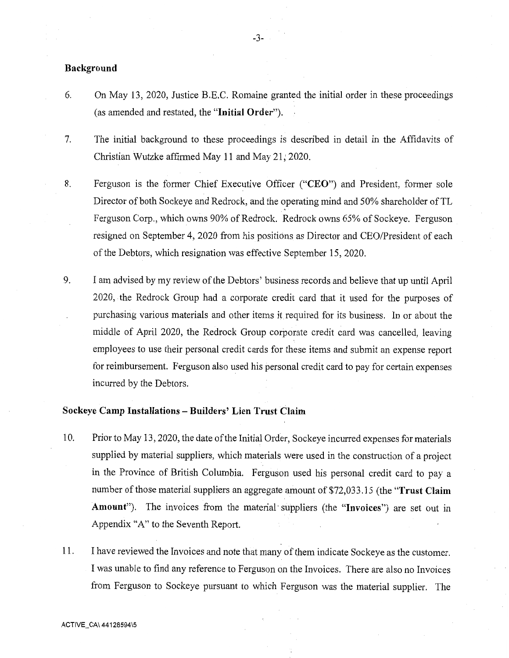### Background

- 6. On May 13, 2020, Justice B.E.C. Romaine granted the initial order in these proceedings (as amended and restated, the "Initial Order").
- 7. The initial background to these proceedings is described in detail in the Affidavits of Christian Wutzke affirmed May 11 and May 21, 2020.
- 8. Ferguson is the former Chief Executive Officer ("CEO") and President, former sole Director of both Sockeye and Redrock, and the operating mind and 50% shareholder of TL Ferguson Corp., which owns 90% of Redrock. Redrock owns 65% of Sockeye. Ferguson resigned on September 4, 2020 from his positions as Director and CEO/President of each of the Debtors, which resignation was effective September 15, 2020.
- 9. I am advised by my review of the Debtors' business records and believe that up until April 2020, the Redrock Group had a corporate credit card that it used for the purposes of purchasing various materials and other items it required for its business. In or about the middle of April 2020, the Redrock Group corporate credit card was cancelled, leaving employees to use their personal credit cards for these items and submit an expense report for reimbursement. Ferguson also used his personal credit card to pay for certain expenses incurred by the Debtors.

# Sockeye Camp Installations — Builders' Lien Trust Claim

- 10. Prior to May 13, 2020, the date of the Initial Order, Sockeye incurred expenses for materials supplied by material suppliers, which materials were used in the construction of a project in the Province of British Columbia. Ferguson used his personal credit card to pay a number of those material suppliers an aggregate amount of \$72,033.15 (the "Trust Claim Amount"). The invoices from the material suppliers (the "Invoices") are set out in Appendix "A" to the Seventh Report.
- 11. I have reviewed the Invoices and note that many of them indicate Sockeye as the customer. I was unable to find any reference to Ferguson on the Invoices. There are also no Invoices from Ferguson to Sockeye pursuant to which Ferguson was the material supplier. The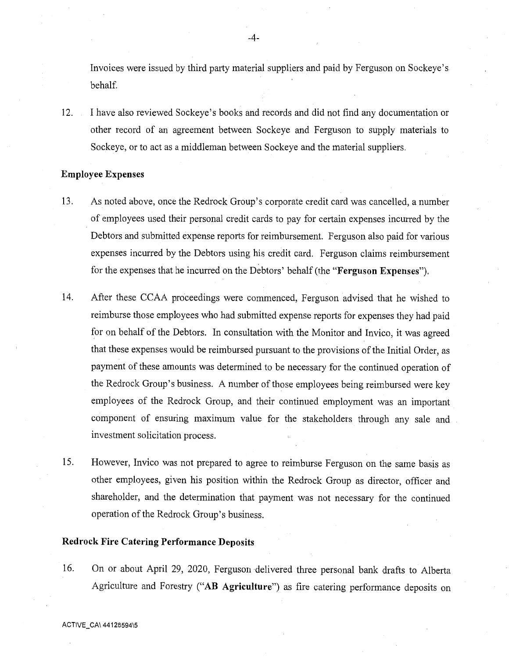Invoices were issued by third party material suppliers and paid by Ferguson on Sockeye's behalf.

12. I have also reviewed Sockeye's books and records and did not find any documentation or other record of an agreement between Sockeye and Ferguson to supply materials to Sockeye, or to act as a middleman between Sockeye and the material suppliers.

#### Employee Expenses

- 13. As noted above, once the Redrock Group's corporate credit card was cancelled, a number of employees used their personal credit cards to pay for certain expenses incurred by the Debtors and submitted expense reports for reimbursement. Ferguson also paid for various expenses incurred by the Debtors using his credit card. Ferguson claims reimbursement for the expenses that he incurred on the Debtors' behalf (the "Ferguson Expenses").
- 14. After these CCAA proceedings were commenced, Ferguson advised that he wished to reimburse those employees who had submitted expense reports for expenses they had paid for on behalf of the Debtors. In consultation with the Monitor and Invico, it was agreed that these expenses would be reimbursed pursuant to the provisions of the Initial Order, as payment of these amounts was determined to be necessary for the continued operation of the Redrock Group's business. A number of those employees being reimbursed were key employees of the Redrock Group, and their continued employment was an important component of ensuring maximum value for the stakeholders through any sale and investment solicitation process.
- 15. However, Invico was not prepared to agree to reimburse Ferguson on the same basis as other employees, given his position within the Redrock Group as director, officer and shareholder, and the determination that payment was not necessary for the continued operation of the Redrock Group's business.

## Redrock Fire Catering Performance Deposits

16. On or about April 29, 2020, Ferguson delivered three personal bank drafts to Alberta Agriculture and Forestry ("AB Agriculture") as fire catering performance deposits on